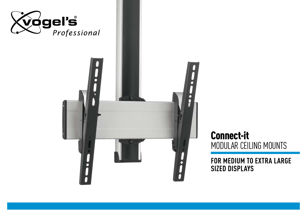

## Connect-it MODULAR Ceiling MOUNTS

**For medium TO EXTRA large sizeD displays**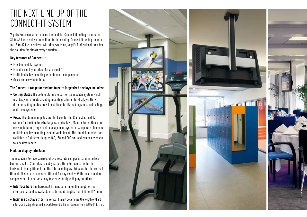## The next line up of the Connect-it system

Vogel's Professional introduces the modular Connect-it ceiling mounts for 32 to 65 inch displays, in addition to the existing Connect-it ceiling mounts for 15 to 32 inch displays. With this extension, Vogel's Professional provides the solution for almost every situation.

### **Key features of Connect-it:**

- Flexible modular system
- Modular display interface for a perfect fit
- Multiple display mounting with standard components
- Quick and easy installation

### **The Connect-it range for medium to extra large sized displays includes:**

- **• Ceiling plates** The ceiling plates are part of the modular system which enables you to create a ceiling mounting solution for displays. The 4 different ceiling plates provide solutions for flat ceilings, inclined ceilings and truss systems.
- **• Poles** The aluminium poles are the basis for the Connect-it modular system for medium to extra large sized displays. Main features: Quick and easy installation, large cable management system of 4 separate channels, multiple display mounting, customizable insert. The aluminium poles are available in 3 different lengths (80,150 and 300 cm) and can easily be cut to a desired length.

### **Modular display interface**

The modular interface consists of two separate components: an interface bar and a set of 2 interface display strips. The interface bar is for the horizontal display fitment and the interface display strips are for the vertical fitment. This creates a custom fitment for any display. With these standard components it is also very easy to create multiple display solutions.

- **• Interface bars** The horizontal fitment determines the length of the interface bar and is available in 4 different lengths from 515 to 1175 mm.
- **Interface display strips** The vertical fitment determines the length of the 2 interface display strips and is available in 6 different lengths from 380 to 1130 mm.

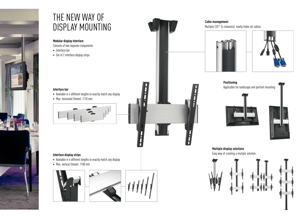

## the new way of display mounting

**Modular display interface** 

Consists of two separate components

- Interface bar
- Set of 2 interface display strips

#### **Interface bar**

- Available in 4 different lengths to exactly match any display
- Max. horizontal fitment: 1110 mm





- Available in 6 different lengths to exactly match any display
- Max. vertical fitment: 1100 mm















**Multiple display solutions**  Easy way of creating a mutiple solution